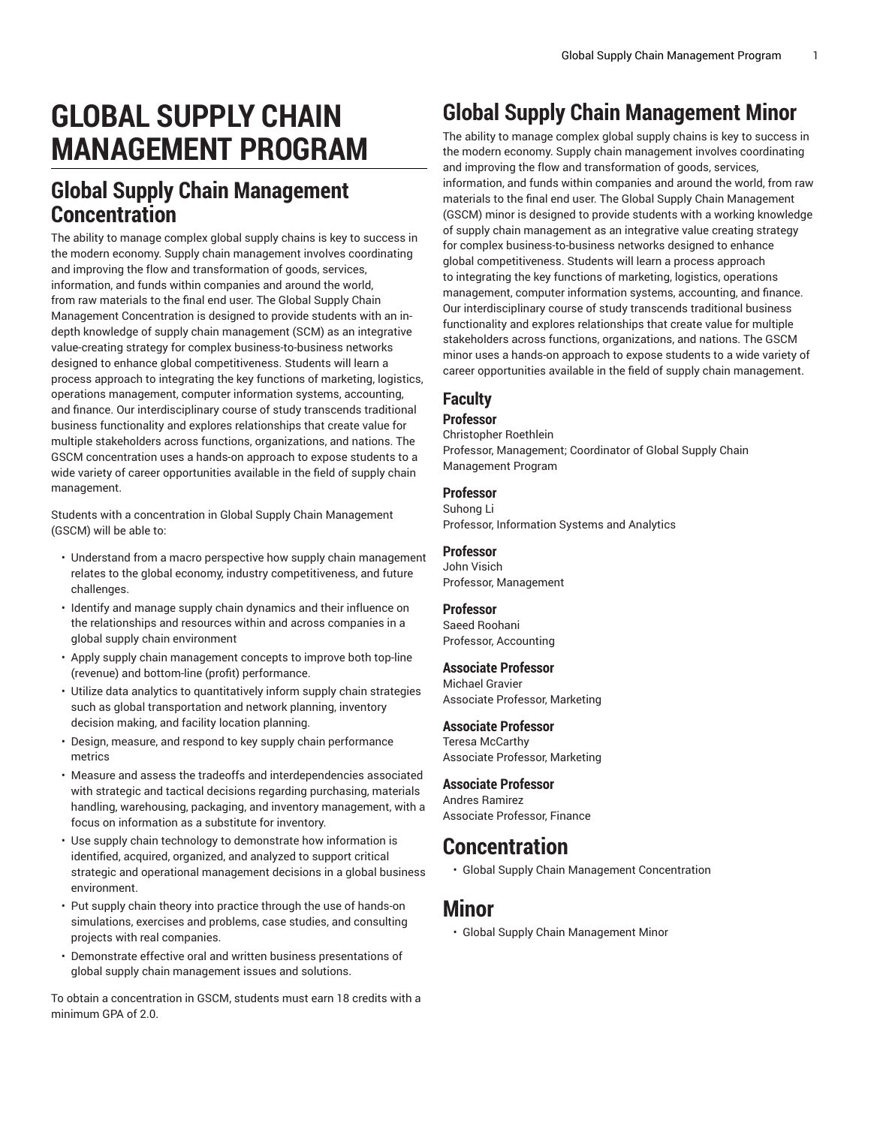# **GLOBAL SUPPLY CHAIN MANAGEMENT PROGRAM**

# **Global Supply Chain Management Concentration**

The ability to manage complex global supply chains is key to success in the modern economy. Supply chain management involves coordinating and improving the flow and transformation of goods, services, information, and funds within companies and around the world, from raw materials to the final end user. The Global Supply Chain Management Concentration is designed to provide students with an indepth knowledge of supply chain management (SCM) as an integrative value-creating strategy for complex business-to-business networks designed to enhance global competitiveness. Students will learn a process approach to integrating the key functions of marketing, logistics, operations management, computer information systems, accounting, and finance. Our interdisciplinary course of study transcends traditional business functionality and explores relationships that create value for multiple stakeholders across functions, organizations, and nations. The GSCM concentration uses a hands-on approach to expose students to a wide variety of career opportunities available in the field of supply chain management.

Students with a concentration in Global Supply Chain Management (GSCM) will be able to:

- Understand from a macro perspective how supply chain management relates to the global economy, industry competitiveness, and future challenges.
- Identify and manage supply chain dynamics and their influence on the relationships and resources within and across companies in a global supply chain environment
- Apply supply chain management concepts to improve both top-line (revenue) and bottom-line (profit) performance.
- Utilize data analytics to quantitatively inform supply chain strategies such as global transportation and network planning, inventory decision making, and facility location planning.
- Design, measure, and respond to key supply chain performance metrics
- Measure and assess the tradeoffs and interdependencies associated with strategic and tactical decisions regarding purchasing, materials handling, warehousing, packaging, and inventory management, with a focus on information as a substitute for inventory.
- Use supply chain technology to demonstrate how information is identified, acquired, organized, and analyzed to support critical strategic and operational management decisions in a global business environment.
- Put supply chain theory into practice through the use of hands-on simulations, exercises and problems, case studies, and consulting projects with real companies.
- Demonstrate effective oral and written business presentations of global supply chain management issues and solutions.

To obtain a concentration in GSCM, students must earn 18 credits with a minimum GPA of 2.0.

# **Global Supply Chain Management Minor**

The ability to manage complex global supply chains is key to success in the modern economy. Supply chain management involves coordinating and improving the flow and transformation of goods, services, information, and funds within companies and around the world, from raw materials to the final end user. The Global Supply Chain Management (GSCM) minor is designed to provide students with a working knowledge of supply chain management as an integrative value creating strategy for complex business-to-business networks designed to enhance global competitiveness. Students will learn a process approach to integrating the key functions of marketing, logistics, operations management, computer information systems, accounting, and finance. Our interdisciplinary course of study transcends traditional business functionality and explores relationships that create value for multiple stakeholders across functions, organizations, and nations. The GSCM minor uses a hands-on approach to expose students to a wide variety of career opportunities available in the field of supply chain management.

# **Faculty**

## **Professor**

Christopher Roethlein Professor, Management; Coordinator of Global Supply Chain Management Program

## **Professor**

Suhong Li Professor, Information Systems and Analytics

## **Professor**

John Visich Professor, Management

## **Professor**

Saeed Roohani Professor, Accounting

### **Associate Professor**

Michael Gravier Associate Professor, Marketing

## **Associate Professor**

Teresa McCarthy Associate Professor, Marketing

### **Associate Professor**

Andres Ramirez Associate Professor, Finance

# **Concentration**

• [Global Supply Chain Management Concentration](http://catalog.bryant.edu/undergraduate/collegeofbusiness/globalsupplychainmanagementprogram/globalsupplychainmanagementconcentration/)

## **Minor**

• [Global Supply Chain Management Minor](http://catalog.bryant.edu/undergraduate/collegeofbusiness/globalsupplychainmanagementprogram/globalsupplychainmanagementminor/)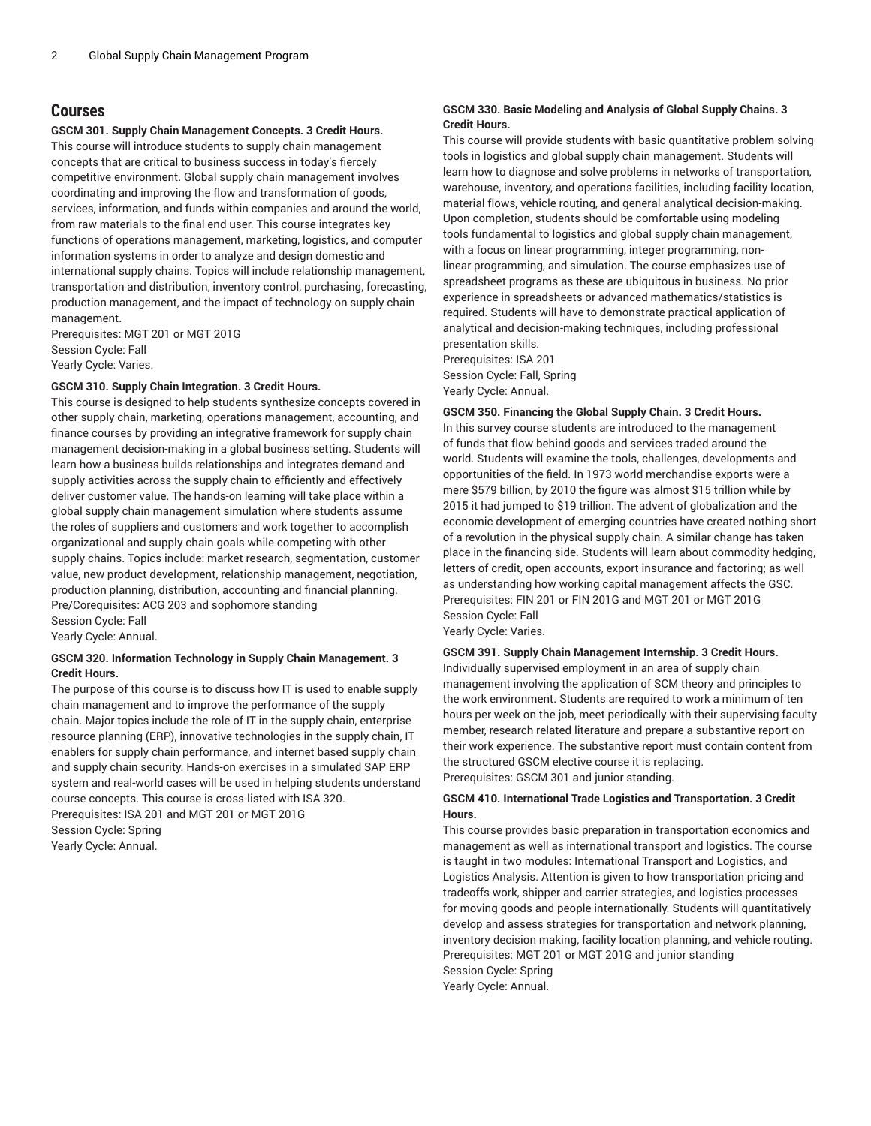## **Courses**

#### **GSCM 301. Supply Chain Management Concepts. 3 Credit Hours.**

This course will introduce students to supply chain management concepts that are critical to business success in today's fiercely competitive environment. Global supply chain management involves coordinating and improving the flow and transformation of goods, services, information, and funds within companies and around the world, from raw materials to the final end user. This course integrates key functions of operations management, marketing, logistics, and computer information systems in order to analyze and design domestic and international supply chains. Topics will include relationship management, transportation and distribution, inventory control, purchasing, forecasting, production management, and the impact of technology on supply chain management.

Prerequisites: MGT 201 or MGT 201G Session Cycle: Fall Yearly Cycle: Varies.

#### **GSCM 310. Supply Chain Integration. 3 Credit Hours.**

This course is designed to help students synthesize concepts covered in other supply chain, marketing, operations management, accounting, and finance courses by providing an integrative framework for supply chain management decision-making in a global business setting. Students will learn how a business builds relationships and integrates demand and supply activities across the supply chain to efficiently and effectively deliver customer value. The hands-on learning will take place within a global supply chain management simulation where students assume the roles of suppliers and customers and work together to accomplish organizational and supply chain goals while competing with other supply chains. Topics include: market research, segmentation, customer value, new product development, relationship management, negotiation, production planning, distribution, accounting and financial planning. Pre/Corequisites: ACG 203 and sophomore standing Session Cycle: Fall

Yearly Cycle: Annual.

#### **GSCM 320. Information Technology in Supply Chain Management. 3 Credit Hours.**

The purpose of this course is to discuss how IT is used to enable supply chain management and to improve the performance of the supply chain. Major topics include the role of IT in the supply chain, enterprise resource planning (ERP), innovative technologies in the supply chain, IT enablers for supply chain performance, and internet based supply chain and supply chain security. Hands-on exercises in a simulated SAP ERP system and real-world cases will be used in helping students understand course concepts. This course is cross-listed with ISA 320. Prerequisites: ISA 201 and MGT 201 or MGT 201G Session Cycle: Spring

Yearly Cycle: Annual.

#### **GSCM 330. Basic Modeling and Analysis of Global Supply Chains. 3 Credit Hours.**

This course will provide students with basic quantitative problem solving tools in logistics and global supply chain management. Students will learn how to diagnose and solve problems in networks of transportation, warehouse, inventory, and operations facilities, including facility location, material flows, vehicle routing, and general analytical decision-making. Upon completion, students should be comfortable using modeling tools fundamental to logistics and global supply chain management, with a focus on linear programming, integer programming, nonlinear programming, and simulation. The course emphasizes use of spreadsheet programs as these are ubiquitous in business. No prior experience in spreadsheets or advanced mathematics/statistics is required. Students will have to demonstrate practical application of analytical and decision-making techniques, including professional presentation skills.

Prerequisites: ISA 201 Session Cycle: Fall, Spring Yearly Cycle: Annual.

#### **GSCM 350. Financing the Global Supply Chain. 3 Credit Hours.**

In this survey course students are introduced to the management of funds that flow behind goods and services traded around the world. Students will examine the tools, challenges, developments and opportunities of the field. In 1973 world merchandise exports were a mere \$579 billion, by 2010 the figure was almost \$15 trillion while by 2015 it had jumped to \$19 trillion. The advent of globalization and the economic development of emerging countries have created nothing short of a revolution in the physical supply chain. A similar change has taken place in the financing side. Students will learn about commodity hedging, letters of credit, open accounts, export insurance and factoring; as well as understanding how working capital management affects the GSC. Prerequisites: FIN 201 or FIN 201G and MGT 201 or MGT 201G Session Cycle: Fall Yearly Cycle: Varies.

#### **GSCM 391. Supply Chain Management Internship. 3 Credit Hours.**

Individually supervised employment in an area of supply chain management involving the application of SCM theory and principles to the work environment. Students are required to work a minimum of ten hours per week on the job, meet periodically with their supervising faculty member, research related literature and prepare a substantive report on their work experience. The substantive report must contain content from the structured GSCM elective course it is replacing.

Prerequisites: GSCM 301 and junior standing.

#### **GSCM 410. International Trade Logistics and Transportation. 3 Credit Hours.**

This course provides basic preparation in transportation economics and management as well as international transport and logistics. The course is taught in two modules: International Transport and Logistics, and Logistics Analysis. Attention is given to how transportation pricing and tradeoffs work, shipper and carrier strategies, and logistics processes for moving goods and people internationally. Students will quantitatively develop and assess strategies for transportation and network planning, inventory decision making, facility location planning, and vehicle routing. Prerequisites: MGT 201 or MGT 201G and junior standing Session Cycle: Spring Yearly Cycle: Annual.